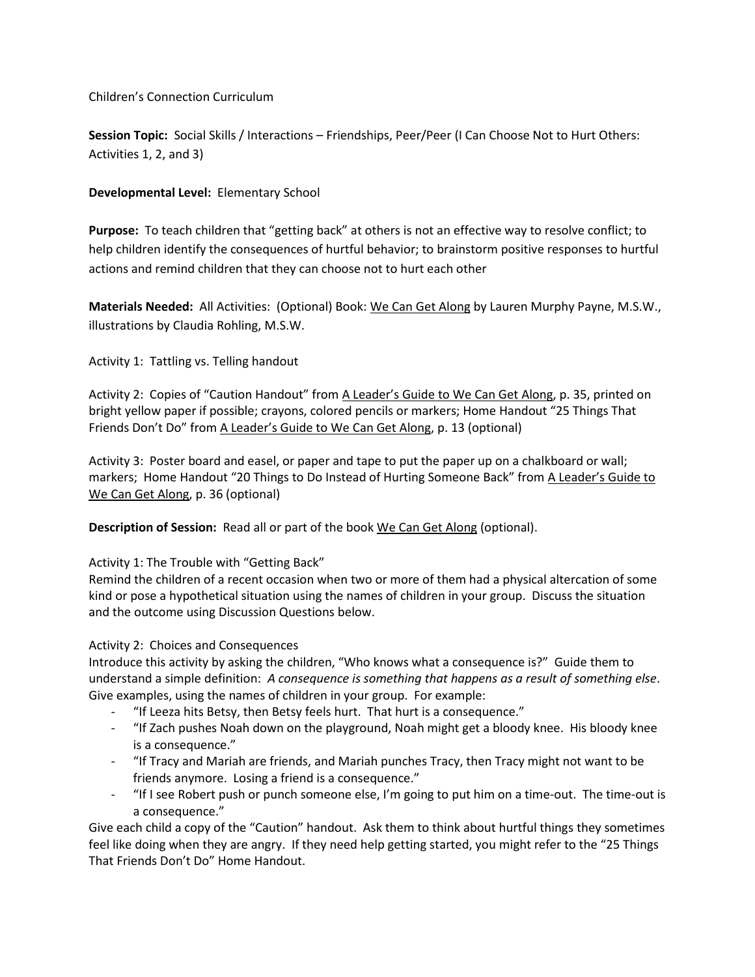Children's Connection Curriculum

**Session Topic:** Social Skills / Interactions – Friendships, Peer/Peer (I Can Choose Not to Hurt Others: Activities 1, 2, and 3)

# **Developmental Level:** Elementary School

**Purpose:** To teach children that "getting back" at others is not an effective way to resolve conflict; to help children identify the consequences of hurtful behavior; to brainstorm positive responses to hurtful actions and remind children that they can choose not to hurt each other

**Materials Needed:** All Activities: (Optional) Book: We Can Get Along by Lauren Murphy Payne, M.S.W., illustrations by Claudia Rohling, M.S.W.

Activity 1: Tattling vs. Telling handout

Activity 2: Copies of "Caution Handout" from A Leader's Guide to We Can Get Along, p. 35, printed on bright yellow paper if possible; crayons, colored pencils or markers; Home Handout "25 Things That Friends Don't Do" from A Leader's Guide to We Can Get Along, p. 13 (optional)

Activity 3: Poster board and easel, or paper and tape to put the paper up on a chalkboard or wall; markers; Home Handout "20 Things to Do Instead of Hurting Someone Back" from A Leader's Guide to We Can Get Along, p. 36 (optional)

**Description of Session:** Read all or part of the book We Can Get Along (optional).

### Activity 1: The Trouble with "Getting Back"

Remind the children of a recent occasion when two or more of them had a physical altercation of some kind or pose a hypothetical situation using the names of children in your group. Discuss the situation and the outcome using Discussion Questions below.

### Activity 2: Choices and Consequences

Introduce this activity by asking the children, "Who knows what a consequence is?" Guide them to understand a simple definition: *A consequence is something that happens as a result of something else*. Give examples, using the names of children in your group. For example:

- "If Leeza hits Betsy, then Betsy feels hurt. That hurt is a consequence."
- "If Zach pushes Noah down on the playground, Noah might get a bloody knee. His bloody knee is a consequence."
- "If Tracy and Mariah are friends, and Mariah punches Tracy, then Tracy might not want to be friends anymore. Losing a friend is a consequence."
- "If I see Robert push or punch someone else, I'm going to put him on a time-out. The time-out is a consequence."

Give each child a copy of the "Caution" handout. Ask them to think about hurtful things they sometimes feel like doing when they are angry. If they need help getting started, you might refer to the "25 Things That Friends Don't Do" Home Handout.